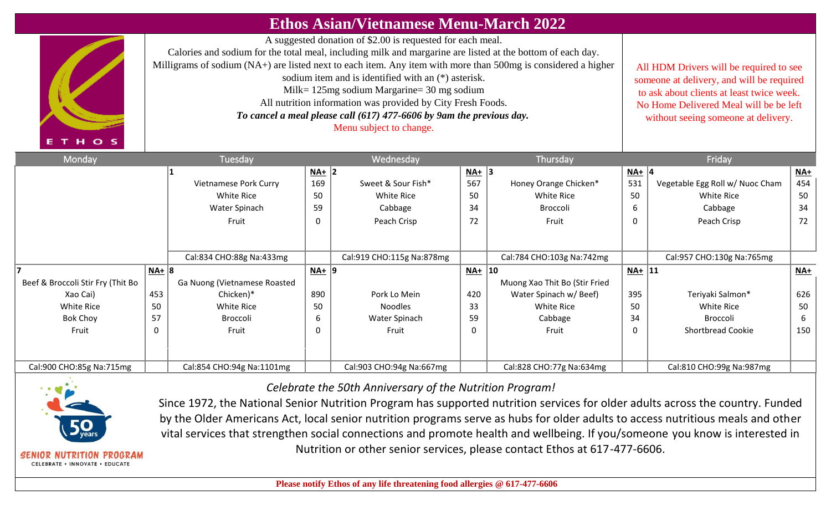|                                   |           |                                                                                                                                                                                                                                                                                                                                                                                                                                                                                                                                         |                                                                                                                                                                                                                    | <b>Ethos Asian/Vietnamese Menu-March 2022</b> |          |                               |          |                                 |       |
|-----------------------------------|-----------|-----------------------------------------------------------------------------------------------------------------------------------------------------------------------------------------------------------------------------------------------------------------------------------------------------------------------------------------------------------------------------------------------------------------------------------------------------------------------------------------------------------------------------------------|--------------------------------------------------------------------------------------------------------------------------------------------------------------------------------------------------------------------|-----------------------------------------------|----------|-------------------------------|----------|---------------------------------|-------|
| THOS                              |           | A suggested donation of \$2.00 is requested for each meal.<br>Calories and sodium for the total meal, including milk and margarine are listed at the bottom of each day.<br>Milligrams of sodium (NA+) are listed next to each item. Any item with more than 500mg is considered a higher<br>sodium item and is identified with an (*) asterisk.<br>Milk= $125mg$ sodium Margarine= 30 mg sodium<br>All nutrition information was provided by City Fresh Foods.<br>To cancel a meal please call (617) 477-6606 by 9am the previous day. | All HDM Drivers will be required to see<br>someone at delivery, and will be required<br>to ask about clients at least twice week.<br>No Home Delivered Meal will be be left<br>without seeing someone at delivery. |                                               |          |                               |          |                                 |       |
| Monday                            |           | Tuesday                                                                                                                                                                                                                                                                                                                                                                                                                                                                                                                                 |                                                                                                                                                                                                                    | Wednesday                                     |          | Thursday                      |          | Friday                          |       |
|                                   |           |                                                                                                                                                                                                                                                                                                                                                                                                                                                                                                                                         | $NA+$ 2                                                                                                                                                                                                            |                                               | $NA+$ 3  |                               | $NA+$ 4  |                                 | $NA+$ |
|                                   |           | <b>Vietnamese Pork Curry</b>                                                                                                                                                                                                                                                                                                                                                                                                                                                                                                            | 169                                                                                                                                                                                                                | Sweet & Sour Fish*                            | 567      | Honey Orange Chicken*         | 531      | Vegetable Egg Roll w/ Nuoc Cham | 454   |
|                                   |           | White Rice                                                                                                                                                                                                                                                                                                                                                                                                                                                                                                                              | 50                                                                                                                                                                                                                 | <b>White Rice</b>                             | 50       | <b>White Rice</b>             | 50       | <b>White Rice</b>               | 50    |
|                                   |           | Water Spinach                                                                                                                                                                                                                                                                                                                                                                                                                                                                                                                           | 59                                                                                                                                                                                                                 | Cabbage                                       | 34       | <b>Broccoli</b>               | 6        | Cabbage                         | 34    |
|                                   |           | Fruit                                                                                                                                                                                                                                                                                                                                                                                                                                                                                                                                   | 0                                                                                                                                                                                                                  | Peach Crisp                                   | 72       | Fruit                         | 0        | Peach Crisp                     | 72    |
|                                   |           |                                                                                                                                                                                                                                                                                                                                                                                                                                                                                                                                         |                                                                                                                                                                                                                    |                                               |          |                               |          |                                 |       |
|                                   |           | Cal:834 CHO:88g Na:433mg                                                                                                                                                                                                                                                                                                                                                                                                                                                                                                                |                                                                                                                                                                                                                    | Cal:919 CHO:115g Na:878mg                     |          | Cal:784 CHO:103g Na:742mg     |          | Cal:957 CHO:130g Na:765mg       |       |
|                                   | $NA+   8$ |                                                                                                                                                                                                                                                                                                                                                                                                                                                                                                                                         | $NA+$ 9                                                                                                                                                                                                            |                                               | $NA+$ 10 |                               | $NA+$ 11 |                                 | $M +$ |
| Beef & Broccoli Stir Fry (Thit Bo |           | Ga Nuong (Vietnamese Roasted                                                                                                                                                                                                                                                                                                                                                                                                                                                                                                            |                                                                                                                                                                                                                    |                                               |          | Muong Xao Thit Bo (Stir Fried |          |                                 |       |
| Xao Cai)                          | 453       | Chicken)*                                                                                                                                                                                                                                                                                                                                                                                                                                                                                                                               | 890                                                                                                                                                                                                                | Pork Lo Mein                                  | 420      | Water Spinach w/ Beef)        | 395      | Teriyaki Salmon*                | 626   |
| <b>White Rice</b>                 | 50        | <b>White Rice</b>                                                                                                                                                                                                                                                                                                                                                                                                                                                                                                                       | 50                                                                                                                                                                                                                 | <b>Noodles</b>                                | 33       | <b>White Rice</b>             | 50       | <b>White Rice</b>               | 50    |
| <b>Bok Choy</b>                   | 57        | Broccoli                                                                                                                                                                                                                                                                                                                                                                                                                                                                                                                                | 6                                                                                                                                                                                                                  | Water Spinach                                 | 59       | Cabbage                       | 34       | Broccoli                        | 6     |
| Fruit                             | $\Omega$  | Fruit                                                                                                                                                                                                                                                                                                                                                                                                                                                                                                                                   | 0                                                                                                                                                                                                                  | Fruit                                         | 0        | Fruit                         | 0        | Shortbread Cookie               | 150   |
|                                   |           |                                                                                                                                                                                                                                                                                                                                                                                                                                                                                                                                         |                                                                                                                                                                                                                    |                                               |          |                               |          |                                 |       |
| Cal:900 CHO:85g Na:715mg          |           | Cal:854 CHO:94g Na:1101mg                                                                                                                                                                                                                                                                                                                                                                                                                                                                                                               |                                                                                                                                                                                                                    | Cal:903 CHO:94g Na:667mg                      |          | Cal:828 CHO:77g Na:634mg      |          | Cal:810 CHO:99g Na:987mg        |       |



SENIOR NUTRITION PROGRAM CELEBRATE . INNOVATE . EDUCATE

*Celebrate the 50th Anniversary of the Nutrition Program!* 

Since 1972, the National Senior Nutrition Program has supported nutrition services for older adults across the country. Funded by the Older Americans Act, local senior nutrition programs serve as hubs for older adults to access nutritious meals and other vital services that strengthen social connections and promote health and wellbeing. If you/someone you know is interested in Nutrition or other senior services, please contact Ethos at 617-477-6606.

 **Please notify Ethos of any life threatening food allergies @ 617-477-6606**